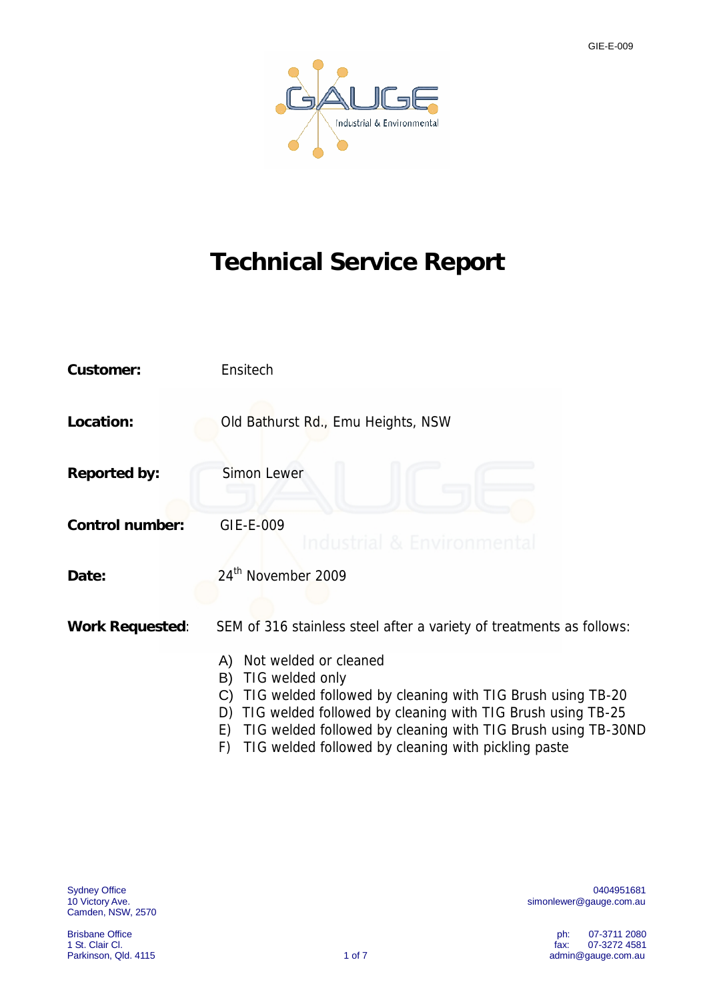

# **Technical Service Report**

| Customer:       | Ensitech                                                                                                                                                                                                                                                                                                                                                                                                  |  |  |  |  |  |  |
|-----------------|-----------------------------------------------------------------------------------------------------------------------------------------------------------------------------------------------------------------------------------------------------------------------------------------------------------------------------------------------------------------------------------------------------------|--|--|--|--|--|--|
| Location:       | Old Bathurst Rd., Emu Heights, NSW                                                                                                                                                                                                                                                                                                                                                                        |  |  |  |  |  |  |
| Reported by:    | Simon Lewer                                                                                                                                                                                                                                                                                                                                                                                               |  |  |  |  |  |  |
| Control number: | GIE-E-009<br>Industrial & Environmen                                                                                                                                                                                                                                                                                                                                                                      |  |  |  |  |  |  |
| Date:           | 24 <sup>th</sup> November 2009                                                                                                                                                                                                                                                                                                                                                                            |  |  |  |  |  |  |
| Work Requested: | SEM of 316 stainless steel after a variety of treatments as follows:<br>Not welded or cleaned<br>A)<br>TIG welded only<br>B)<br>TIG welded followed by cleaning with TIG Brush using TB-20<br>C)<br>TIG welded followed by cleaning with TIG Brush using TB-25<br>D)<br>TIG welded followed by cleaning with TIG Brush using TB-30ND<br>E)<br>TIC wolded followed by cleaning with pickling pacto<br>E V. |  |  |  |  |  |  |

F) TIG welded followed by cleaning with pickling paste

Camden, NSW, 2570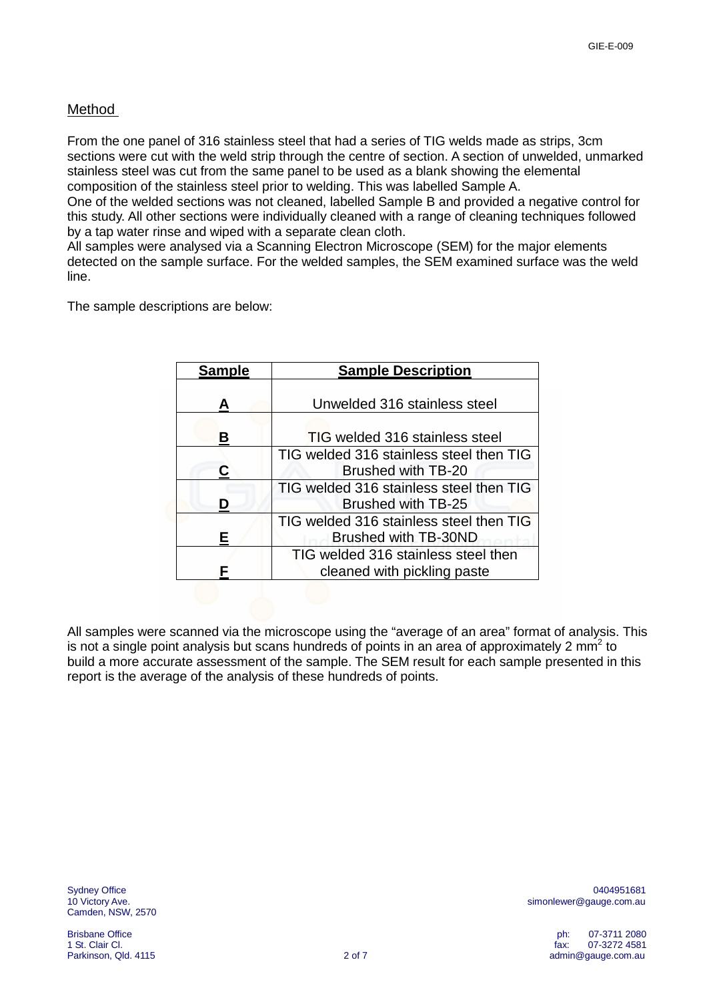## Method

From the one panel of 316 stainless steel that had a series of TIG welds made as strips, 3cm sections were cut with the weld strip through the centre of section. A section of unwelded, unmarked stainless steel was cut from the same panel to be used as a blank showing the elemental composition of the stainless steel prior to welding. This was labelled Sample A.

One of the welded sections was not cleaned, labelled Sample B and provided a negative control for this study. All other sections were individually cleaned with a range of cleaning techniques followed by a tap water rinse and wiped with a separate clean cloth.

All samples were analysed via a Scanning Electron Microscope (SEM) for the major elements detected on the sample surface. For the welded samples, the SEM examined surface was the weld line.

The sample descriptions are below:

| <b>Sample</b> | <b>Sample Description</b>                                          |
|---------------|--------------------------------------------------------------------|
| А             | Unwelded 316 stainless steel                                       |
| в             | <b>TIG welded 316 stainless steel</b>                              |
| r:            | TIG welded 316 stainless steel then TIG<br>Brushed with TB-20      |
|               | TIG welded 316 stainless steel then TIG<br>Brushed with TB-25      |
|               | TIG welded 316 stainless steel then TIG<br>Brushed with TB-30ND    |
|               | TIG welded 316 stainless steel then<br>cleaned with pickling paste |

All samples were scanned via the microscope using the "average of an area" format of analysis. This is not a single point analysis but scans hundreds of points in an area of approximately 2 mm<sup>2</sup> to build a more accurate assessment of the sample. The SEM result for each sample presented in this report is the average of the analysis of these hundreds of points.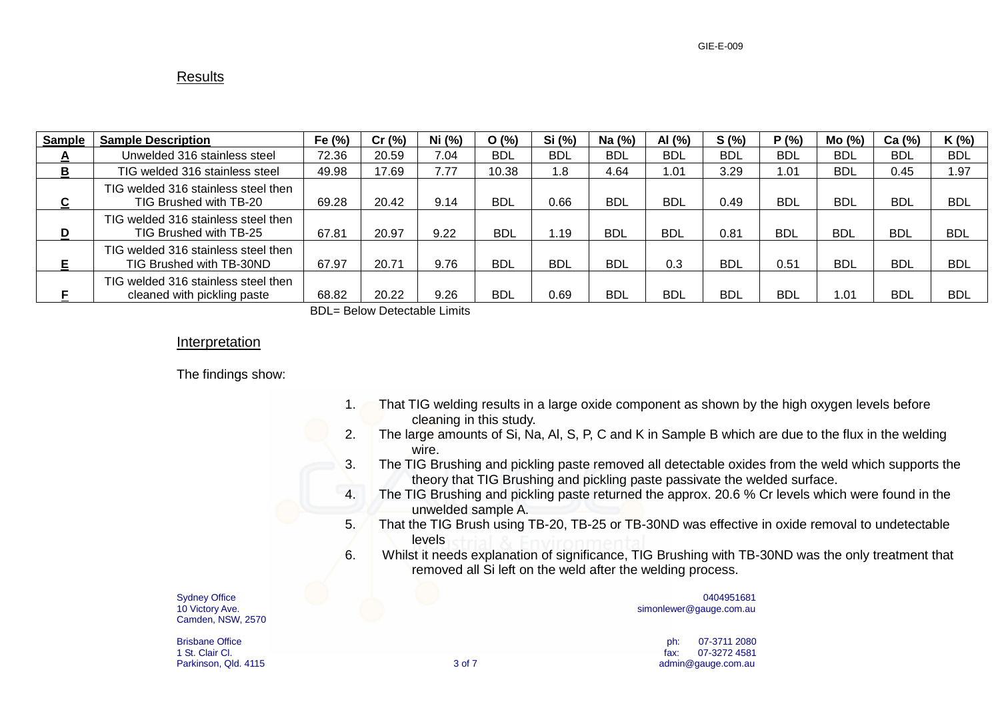## **Results**

| <b>Sample</b>     | <b>Sample Description</b>                                          | Fe $(%)$ | Cr(%) | Ni (%) | O(%)       | Si (%)     | Na $(%)$   | AI (%)     | S(%)       | P(% )      | Mo (%)     | Ca (%)     | K (%)      |
|-------------------|--------------------------------------------------------------------|----------|-------|--------|------------|------------|------------|------------|------------|------------|------------|------------|------------|
| $\mathbf{\Gamma}$ | Unwelded 316 stainless steel                                       | 72.36    | 20.59 | 7.04   | <b>BDL</b> | <b>BDL</b> | <b>BDL</b> | <b>BDL</b> | <b>BDL</b> | <b>BDL</b> | <b>BDL</b> | <b>BDL</b> | <b>BDL</b> |
| в                 | TIG welded 316 stainless steel                                     | 49.98    | 17.69 | 7.77   | 10.38      | 1.8        | 4.64       | .01        | 3.29       | 1.01       | <b>BDL</b> | 0.45       | 1.97       |
| C                 | TIG welded 316 stainless steel then<br>TIG Brushed with TB-20      | 69.28    | 20.42 | 9.14   | <b>BDL</b> | 0.66       | <b>BDL</b> | <b>BDL</b> | 0.49       | <b>BDL</b> | <b>BDL</b> | <b>BDL</b> | <b>BDL</b> |
| D                 | TIG welded 316 stainless steel then<br>TIG Brushed with TB-25      | 67.81    | 20.97 | 9.22   | <b>BDL</b> | .19        | BDL        | <b>BDL</b> | 0.81       | <b>BDL</b> | <b>BDL</b> | <b>BDL</b> | <b>BDL</b> |
| E                 | TIG welded 316 stainless steel then<br>TIG Brushed with TB-30ND    | 67.97    | 20.71 | 9.76   | <b>BDL</b> | <b>BDL</b> | <b>BDL</b> | 0.3        | <b>BDL</b> | 0.51       | <b>BDL</b> | <b>BDL</b> | <b>BDL</b> |
|                   | TIG welded 316 stainless steel then<br>cleaned with pickling paste | 68.82    | 20.22 | 9.26   | <b>BDL</b> | 0.69       | <b>BDL</b> | <b>BDL</b> | <b>BDL</b> | <b>BDL</b> | 1.01       | <b>BDL</b> | <b>BDL</b> |

BDL= Below Detectable Limits

## Interpretation

The findings show:

| That TIG welding results in a large oxide component as shown by the high oxygen levels before |
|-----------------------------------------------------------------------------------------------|
| cleaning in this study.                                                                       |

- 2. The large amounts of Si, Na, Al, S, P, C and K in Sample B which are due to the flux in the welding wire.
- 3. The TIG Brushing and pickling paste removed all detectable oxides from the weld which supports the theory that TIG Brushing and pickling paste passivate the welded surface.
- 4. The TIG Brushing and pickling paste returned the approx. 20.6 % Cr levels which were found in the unwelded sample A.
- 5. That the TIG Brush using TB-20, TB-25 or TB-30ND was effective in oxide removal to undetectable levels
- 6. Whilst it needs explanation of significance, TIG Brushing with TB-30ND was the only treatment that removed all Si left on the weld after the welding process.

Camden, NSW, 2570

Sydney Office 0404951681 10 Victory Ave. [simonlewer@gauge.com.au](mailto:simonlewer@gauge.com.au)

Brisbane Office ph: 07-3711 2080 1 St. Clair Cl. fax: 07-3272 4581 Parkinson, Qld. 4115 **3 of 7** [admin@gauge.com.au](mailto:admin@gauge.com.au) 3 of 7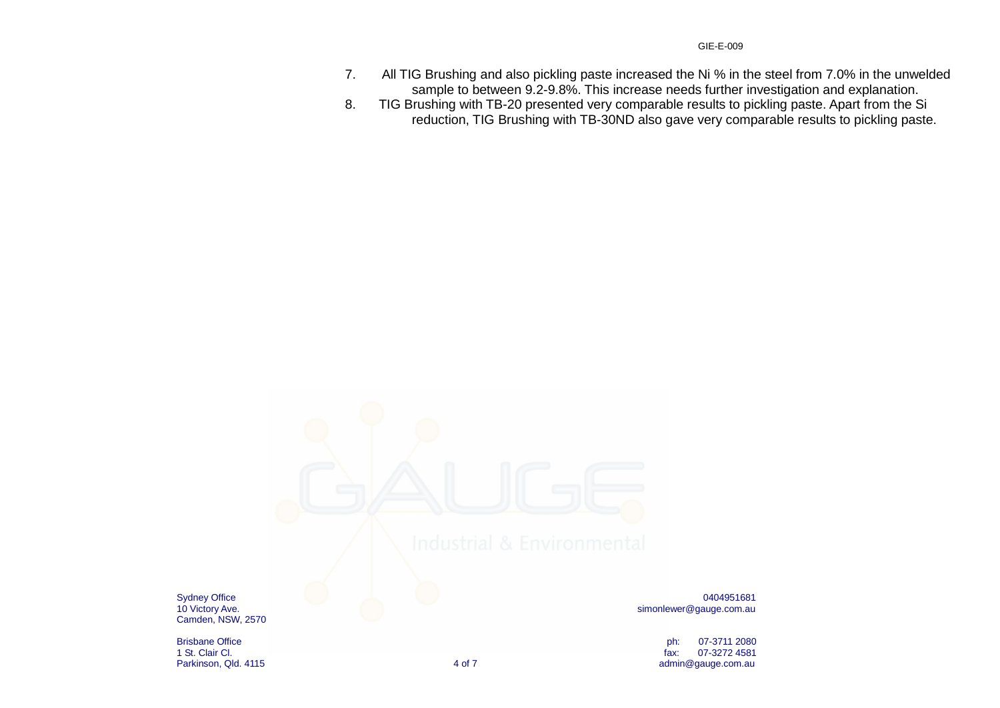- 7. All TIG Brushing and also pickling paste increased the Ni % in the steel from 7.0% in the unwelded sample to between 9.2-9.8%. This increase needs further investigation and explanation.
- 8. TIG Brushing with TB-20 presented very comparable results to pickling paste. Apart from the Si reduction, TIG Brushing with TB-30ND also gave very comparable results to pickling paste.



Camden, NSW, 2570

Sydney Office 0404951681 10 Victory Ave.<br>10 Victory Ave.

Brisbane Office ph: 07-3711 2080 1 St. Clair Cl. fax: 07-3272 4581 Parkinson, Qld. 4115 **and 1991** [admin@gauge.com.au](mailto:admin@gauge.com.au) admin@gauge.com.au admin@gauge.com.au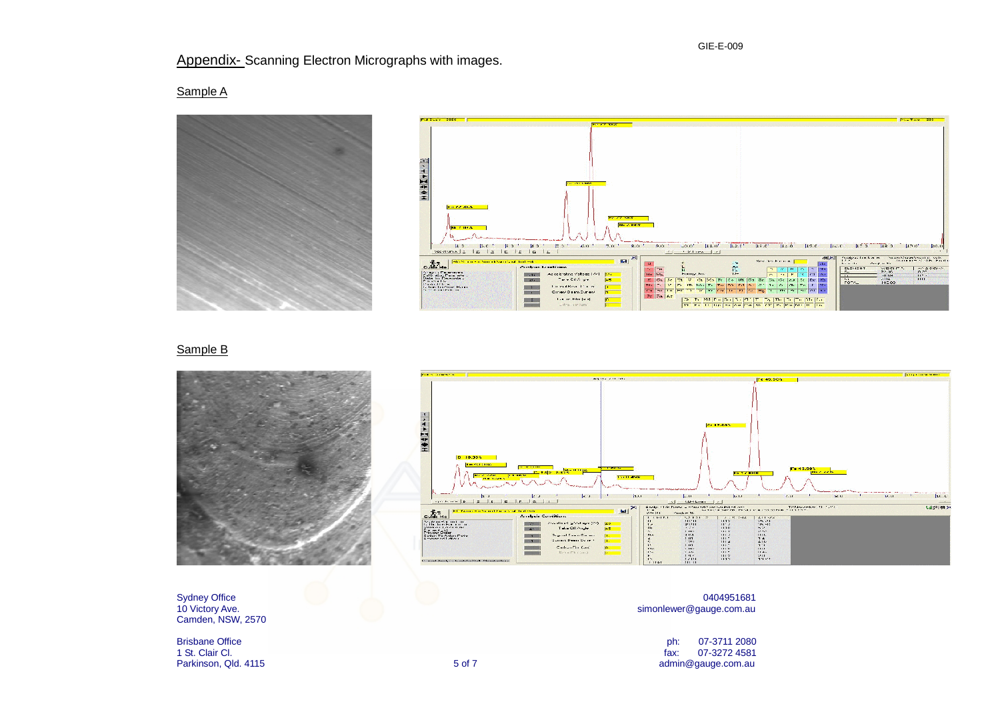## Appendix- Scanning Electron Micrographs with images.

Sample A





### Sample B





Camden, NSW, 2570

Sydney Office 0404951681 10 Victory Ave. [simonlewer@gauge.com.au](mailto:simonlewer@gauge.com.au)

Brisbane Office ph: 07-3711 2080 1 St. Clair Cl. fax: 07-3272 4581 Parkinson, Qld. 4115 **but adminited as a contract of the Contract S** of 7 adminited adminited gauge.com.au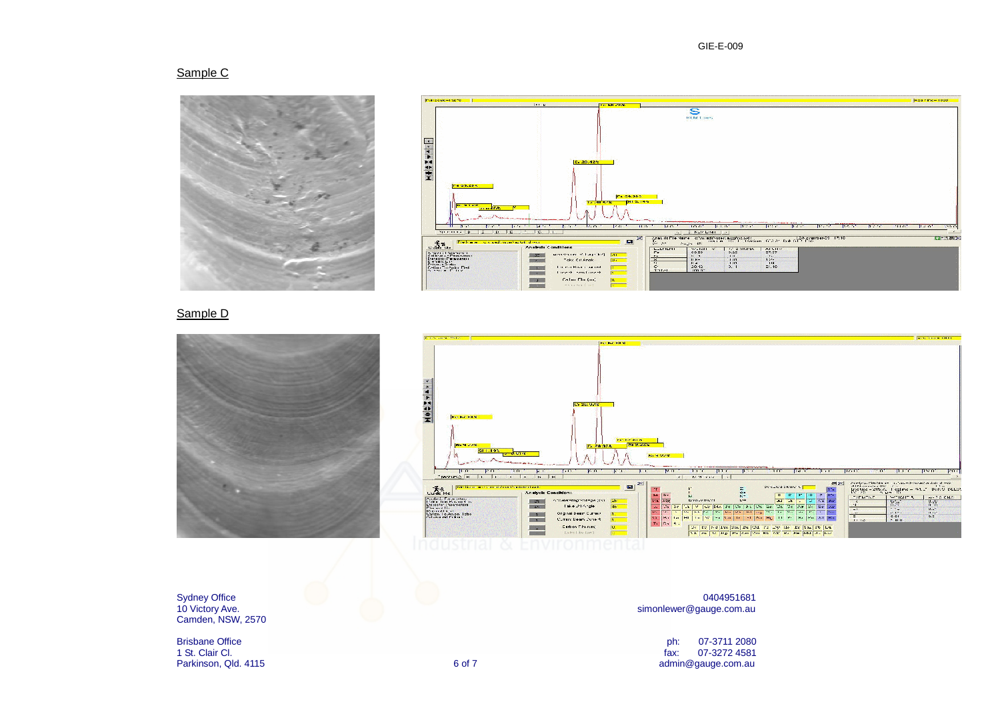#### Sample C





### Sample D





Camden, NSW, 2570

#### Sydney Office 0404951681 10 Victory Ave. [simonlewer@gauge.com.au](mailto:simonlewer@gauge.com.au)

erisbane Office and the philosophy of the philosophy of the philosophy of the philosophy of the 197-3711 2080<br>
Brisbane Office and the philosophy of the philosophy of the philosophy of the philosophy of the 197-3272 4581<br> 1 St. Clair Cl. fax: 07-3272 4581 Parkinson, Qld. 4115 **and 1112** [admin@gauge.com.au](mailto:admin@gauge.com.au) 6 of 7 **6 admin@gauge.com.au**